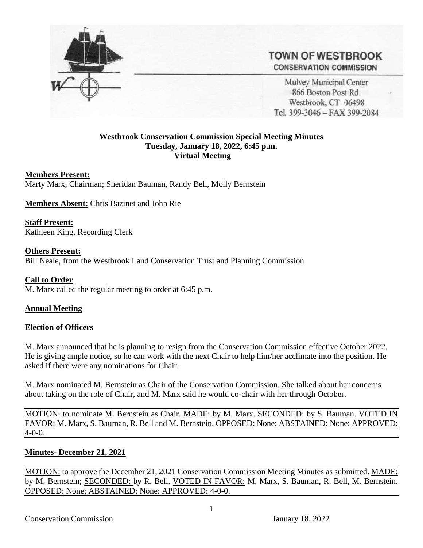

# **TOWN OF WESTBROOK CONSERVATION COMMISSION**

Mulvey Municipal Center 866 Boston Post Rd. Westbrook, CT 06498 Tel. 399-3046 - FAX 399-2084

## **Westbrook Conservation Commission Special Meeting Minutes Tuesday, January 18, 2022, 6:45 p.m. Virtual Meeting**

### **Members Present:**

Marty Marx, Chairman; Sheridan Bauman, Randy Bell, Molly Bernstein

**Members Absent:** Chris Bazinet and John Rie

**Staff Present:** Kathleen King, Recording Clerk

### **Others Present:**

Bill Neale, from the Westbrook Land Conservation Trust and Planning Commission

**Call to Order** M. Marx called the regular meeting to order at 6:45 p.m.

### **Annual Meeting**

### **Election of Officers**

M. Marx announced that he is planning to resign from the Conservation Commission effective October 2022. He is giving ample notice, so he can work with the next Chair to help him/her acclimate into the position. He asked if there were any nominations for Chair.

M. Marx nominated M. Bernstein as Chair of the Conservation Commission. She talked about her concerns about taking on the role of Chair, and M. Marx said he would co-chair with her through October.

MOTION: to nominate M. Bernstein as Chair. MADE: by M. Marx. SECONDED: by S. Bauman. VOTED IN FAVOR: M. Marx, S. Bauman, R. Bell and M. Bernstein. OPPOSED: None; ABSTAINED: None: APPROVED: 4-0-0.

## **Minutes- December 21, 2021**

MOTION: to approve the December 21, 2021 Conservation Commission Meeting Minutes as submitted. MADE: by M. Bernstein; SECONDED: by R. Bell. VOTED IN FAVOR: M. Marx, S. Bauman, R. Bell, M. Bernstein. OPPOSED: None; ABSTAINED: None: APPROVED: 4-0-0.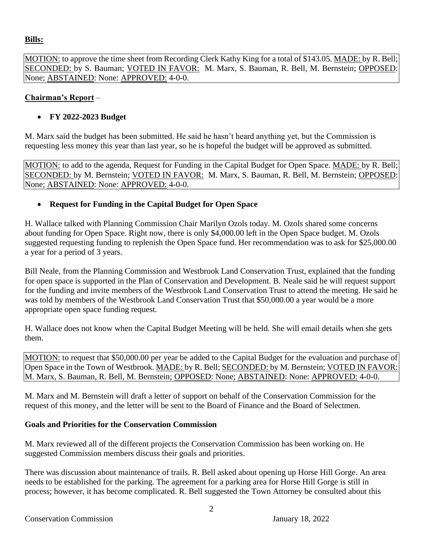## **Bills:**

MOTION: to approve the time sheet from Recording Clerk Kathy King for a total of \$143.05. MADE: by R. Bell; SECONDED: by S. Bauman; VOTED IN FAVOR: M. Marx, S. Bauman, R. Bell, M. Bernstein; OPPOSED: None; ABSTAINED: None: APPROVED: 4-0-0.

## **Chairman's Report** –

# • **FY 2022-2023 Budget**

M. Marx said the budget has been submitted. He said he hasn't heard anything yet, but the Commission is requesting less money this year than last year, so he is hopeful the budget will be approved as submitted.

MOTION: to add to the agenda, Request for Funding in the Capital Budget for Open Space. MADE: by R. Bell; SECONDED: by M. Bernstein; VOTED IN FAVOR: M. Marx, S. Bauman, R. Bell, M. Bernstein; OPPOSED: None; ABSTAINED: None: APPROVED: 4-0-0.

# • **Request for Funding in the Capital Budget for Open Space**

H. Wallace talked with Planning Commission Chair Marilyn Ozols today. M. Ozols shared some concerns about funding for Open Space. Right now, there is only \$4,000.00 left in the Open Space budget. M. Ozols suggested requesting funding to replenish the Open Space fund. Her recommendation was to ask for \$25,000.00 a year for a period of 3 years.

Bill Neale, from the Planning Commission and Westbrook Land Conservation Trust, explained that the funding for open space is supported in the Plan of Conservation and Development. B. Neale said he will request support for the funding and invite members of the Westbrook Land Conservation Trust to attend the meeting. He said he was told by members of the Westbrook Land Conservation Trust that \$50,000.00 a year would be a more appropriate open space funding request.

H. Wallace does not know when the Capital Budget Meeting will be held. She will email details when she gets them.

MOTION: to request that \$50,000.00 per year be added to the Capital Budget for the evaluation and purchase of Open Space in the Town of Westbrook. MADE: by R. Bell; SECONDED: by M. Bernstein; VOTED IN FAVOR: M. Marx, S. Bauman, R. Bell, M. Bernstein; **OPPOSED**: None; **ABSTAINED**: None: **APPROVED**: 4-0-0.

M. Marx and M. Bernstein will draft a letter of support on behalf of the Conservation Commission for the request of this money, and the letter will be sent to the Board of Finance and the Board of Selectmen.

# **Goals and Priorities for the Conservation Commission**

M. Marx reviewed all of the different projects the Conservation Commission has been working on. He suggested Commission members discuss their goals and priorities.

There was discussion about maintenance of trails. R. Bell asked about opening up Horse Hill Gorge. An area needs to be established for the parking. The agreement for a parking area for Horse Hill Gorge is still in process; however, it has become complicated. R. Bell suggested the Town Attorney be consulted about this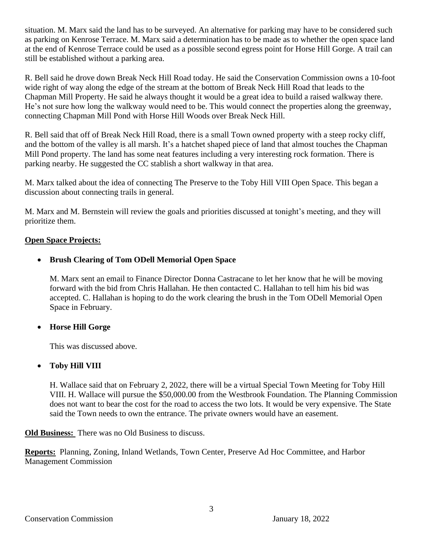situation. M. Marx said the land has to be surveyed. An alternative for parking may have to be considered such as parking on Kenrose Terrace. M. Marx said a determination has to be made as to whether the open space land at the end of Kenrose Terrace could be used as a possible second egress point for Horse Hill Gorge. A trail can still be established without a parking area.

R. Bell said he drove down Break Neck Hill Road today. He said the Conservation Commission owns a 10-foot wide right of way along the edge of the stream at the bottom of Break Neck Hill Road that leads to the Chapman Mill Property. He said he always thought it would be a great idea to build a raised walkway there. He's not sure how long the walkway would need to be. This would connect the properties along the greenway, connecting Chapman Mill Pond with Horse Hill Woods over Break Neck Hill.

R. Bell said that off of Break Neck Hill Road, there is a small Town owned property with a steep rocky cliff, and the bottom of the valley is all marsh. It's a hatchet shaped piece of land that almost touches the Chapman Mill Pond property. The land has some neat features including a very interesting rock formation. There is parking nearby. He suggested the CC stablish a short walkway in that area.

M. Marx talked about the idea of connecting The Preserve to the Toby Hill VIII Open Space. This began a discussion about connecting trails in general.

M. Marx and M. Bernstein will review the goals and priorities discussed at tonight's meeting, and they will prioritize them.

# **Open Space Projects:**

# • **Brush Clearing of Tom ODell Memorial Open Space**

M. Marx sent an email to Finance Director Donna Castracane to let her know that he will be moving forward with the bid from Chris Hallahan. He then contacted C. Hallahan to tell him his bid was accepted. C. Hallahan is hoping to do the work clearing the brush in the Tom ODell Memorial Open Space in February.

# • **Horse Hill Gorge**

This was discussed above.

# • **Toby Hill VIII**

H. Wallace said that on February 2, 2022, there will be a virtual Special Town Meeting for Toby Hill VIII. H. Wallace will pursue the \$50,000.00 from the Westbrook Foundation. The Planning Commission does not want to bear the cost for the road to access the two lots. It would be very expensive. The State said the Town needs to own the entrance. The private owners would have an easement.

**Old Business:** There was no Old Business to discuss.

**Reports:** Planning, Zoning, Inland Wetlands, Town Center, Preserve Ad Hoc Committee, and Harbor Management Commission